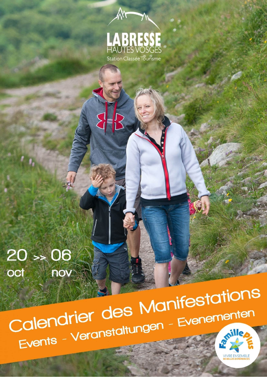

٨N

 $\left\{\mathbf{e}^{\mathbf{b}}\right\}$ 

 $20 > 06$ oct nov

Calendrier des Manifestations Events - Veranstaltungen - Evenementen

**VIVRE ENSEMBLE**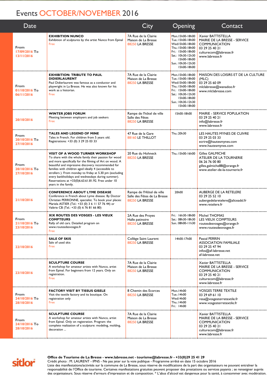## Events OCTOBER/NOVEMBER 2016

| Date                                |                                                                                                                                                                                                                                                                                                                                                                                                                                                                         | City                                                                         | Opening                                                                                                                                                                      | Contact                                                                                                                                    |
|-------------------------------------|-------------------------------------------------------------------------------------------------------------------------------------------------------------------------------------------------------------------------------------------------------------------------------------------------------------------------------------------------------------------------------------------------------------------------------------------------------------------------|------------------------------------------------------------------------------|------------------------------------------------------------------------------------------------------------------------------------------------------------------------------|--------------------------------------------------------------------------------------------------------------------------------------------|
| From<br>17/09/2016 To<br>13/11/2016 | <b>EXHIBITION NUNCO</b><br>Exhibition of sculptures by the artist Nunco from Epinal<br>Free                                                                                                                                                                                                                                                                                                                                                                             | 7A Rue de la Clairie<br>Maison de La Bresse<br>88250 LA BRESSE               | Mon. 15h00-18h00<br>Tue.: 15h00-18h00<br>Wed I 5h00-18h00<br>Thu.: I 5h00-18h00<br>Fri.: 15h00-18h00<br>Sat.: 10h30-12h30<br>I5h00-18h00<br>Sun.: 10h30-12h30<br>I5h00-18h00 | Xavier BATTISTELLA<br>MAIRIE DE LA BRESSE - SERVICE<br><b>COMMUNICATION</b><br>03 29 25 40 21<br>culturecom@labresse.fr<br>www.labresse.fr |
| From<br>01/10/2016 To<br>06/11/2016 | EXHIBITION: TRIBUTE TO PAUL<br><b>DIDIERLAURENT</b><br>Paul Didierlaurent was famous as a conductor and<br>playwright in La Bresse. He was also known for his<br>work as a historian.<br>Free                                                                                                                                                                                                                                                                           | 7A Rue de la Clairie<br>Maison de La Bresse<br>88250 LA BRESSE               | Mon. 15h00-18h00<br>Tue.: 15h00-18h00<br>Wed I 5h00-18h00<br>Thu.: I 5h00-18h00<br>Fri.: 15h00-18h00<br>Sat.: 10h30-12h30<br>I5h00-18h00<br>Sun.: 10h30-12h30<br>I5h00-18h00 | MAISON DES LOISIRS ET DE LA CULTURE<br>(MLC)<br>03 29 25 60 09<br>mlclabresse@wanadoo.fr<br>www.mlclabresse.com                            |
| 20/10/2016                          | <b>WINTER JOBS FORUM</b><br>Meeting between employers and job seekers<br>Free                                                                                                                                                                                                                                                                                                                                                                                           | Rampe de l'hôtel de ville<br>Salle des Fêtes<br>88250 LA BRESSE              | I 5h00-18h00                                                                                                                                                                 | <b>MAIRIE - SERVICE POPULATION</b><br>03 29 25 40 21<br>info@labresse.fr<br>www.labresse.fr                                                |
| From<br>20/10/2016 To<br>27/10/2016 | <b>TALES AND LEGEND OF MINE</b><br>Tales in French. For children from 5 years old.<br>Registrations: +33 (0) 3 29 25 03 33                                                                                                                                                                                                                                                                                                                                              | 47 Rue de la Gare<br><b>88160 LE THILLOT</b>                                 | Thu.: 20h30                                                                                                                                                                  | LES HAUTES MYNES DE CUIVRE<br>03 29 25 03 33<br>ecrire@hautesmynes.com<br>www.hautesmynes.com                                              |
| From<br>20/10/2016 To<br>27/10/2016 | <b>VISIT OF A WOOD TURNER WORKSHOP</b><br>To share with the whole family their passion for wood<br>and more specifically for the filming of Art on wood. A<br>beautiful and impressive discovery recommended for<br>families with children aged ideally 4 (accessible to<br>strollers ). From monday to friday at 5.30 pm (excluding<br>every bankholidays and wednesdays during summer).<br>Reservations at +33(0)6.63.61.81.92. Free under 10<br>years in the family. | 20 Rue du Hohneck<br>88250 LA BRESSE                                         | Thu.: I 5h00-16h00                                                                                                                                                           | <b>Gilles GALMICHE</b><br>ATELIER DE LA TOURNERIE<br>06 26 76 00 80<br>gilles.galmiche88@orange.fr<br>www.atelier-de-la-tournerie.fr       |
| 21/10/2016                          | <b>CONFERENCE ABOUT LYME DISEASE</b><br>Conference in French about Lyme disease. By Doctor<br>Christian PERRONNE, specialist. To book your places:<br>Mariela ASTIER (Tel.: +33 (0) 3 6 11 57 76 44) or<br>Valérie CB (Tel.: +33 (0) 6 76 81 66 80)                                                                                                                                                                                                                     | Rampe de l'Hôtel de ville<br>Salle des Fêtes de La Bresse<br>88250 LA BRESSE | 20h00                                                                                                                                                                        | <b>AUBERGE DE LA RETELERE</b><br>03 29 25 52 10<br>aubergedelaretelere@aliceadsl.fr<br>www.retelere.fr                                     |
| From<br>21/10/2016 To<br>23/10/2016 | XIX ROUTES DES VOSGES - LES VIEUX<br><b>COMPTEURS</b><br>Rally of old cars. Detailed program on<br>www.routesdesvosges.fr<br>Free                                                                                                                                                                                                                                                                                                                                       | 2A Rue des Proyes<br>Halle patinoire<br>88250 LA BRESSE                      | Fri.: 16h30-18h00<br>Sat.: 08h30-18h30<br>Sun.: 08h00-11h30                                                                                                                  | Michel THOMAS<br>LES VIEUX COMPTEURS<br>routesdesvosges@orange.fr<br>www.routesdesvosges.fr                                                |
| 22/10/2016                          | <b>SALE OF SKIS</b><br>Sale of used skis<br>Free                                                                                                                                                                                                                                                                                                                                                                                                                        | Collège Saint Laurent<br>88250 LA BRESSE                                     | I4h00-17h00                                                                                                                                                                  | Pascal PERRIN<br><b>ASSOCIATION FAMILIALE</b><br>03 29 25 47 94<br>$infos@af-labresse.net$<br>af-labresse.net                              |
| 23/10/2016                          | <b>SCULPTURE COURSE</b><br>A workshop for amateur artists with Nunco, artist<br>from Epinal. For beginners from 12 years. Only on<br>registration.<br>Free                                                                                                                                                                                                                                                                                                              | 7A Rue de la Clairie<br>Maison de La Bresse<br>88250 LA BRESSE               |                                                                                                                                                                              | Xavier BATTISTELLA<br>MAIRIE DE LA BRESSE - SERVICE<br><b>COMMUNICATION</b><br>03 29 25 40 21<br>culturecom@labresse.fr<br>www.labresse.fr |
| From<br>24/10/2016 To<br>28/10/2016 | <b>FACTORY VISIT BY TISSUS GISELE</b><br>Visit the textile factory and its boutique. On<br>registration only<br>Free                                                                                                                                                                                                                                                                                                                                                    | 8 Chemin des Ecorces<br>88250 LA BRESSE                                      | Mon. 14h00<br>Tue.: 14h00<br>Wed 14h00<br>Thu.: 14h00<br>Fri.: 14h00                                                                                                         | <b>VOSGES TERRE TEXTILE</b><br>03 29 69 61 10<br>resa@vosgesterretextile.fr<br>www.vosgesterretextile.fr                                   |
| From<br>24/10/2016 To<br>28/10/2016 | <b>SCULPTURE COURSE</b><br>A workshop for amateur artists with Nunco, artist<br>from Epinal. Only on registration. Program: the<br>complete realization of a sculpture: modeling, molding,<br>decoration                                                                                                                                                                                                                                                                | 7A Rue de la Clairie<br>Maison de La Bresse<br>88250 LA BRESSE               |                                                                                                                                                                              | Xavier BATTISTELLA<br>MAIRIE DE LA BRESSE - SERVICE<br><b>COMMUNICATION</b><br>03 29 25 40 21<br>culturecom@labresse.fr<br>www.labresse.fr |



## **Office de Tourisme de La Bresse - www.labresse.net - tourisme@labresse.fr - +33(0)29 25 41 29**

Crédit photo : M. LAURENT - IPNS - Ne pas jeter sur la voie publique - Programme arrêté en date 15 octobre 2016 Liste des manifestations/activités sur la commune de La Bresse, sous réserve de modifications de la part des organisateurs ne pouvant entraîner la responsabilité de l'Office de tourisme. Certaines manifestations gratuites peuvent proposer des prestations ou services payants ; se renseigner auprès des organisateurs. Sous réserve d'erreurs d'impression et de composition. \* L'abus d'alcool est dangereux pour la santé, à consommer avec modération.